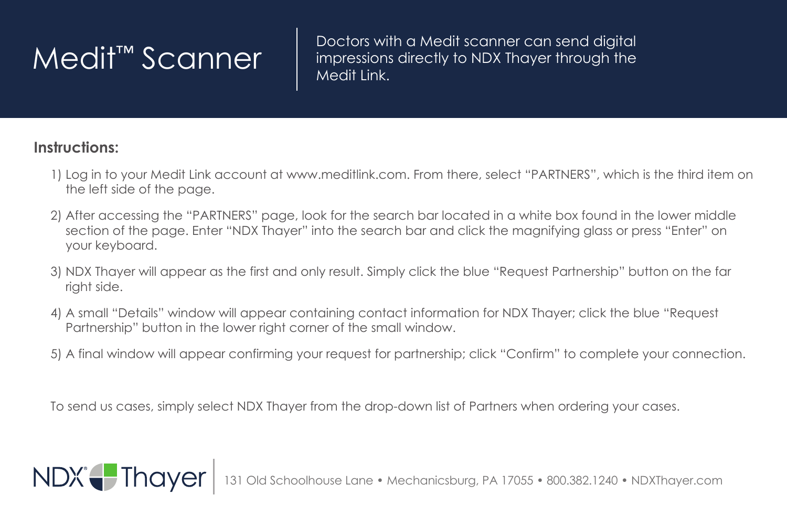Medit™ Scanner | Doctors with a Medit scanner can send digital<br>Medit™ Scanner | impressions directly to NDX Thayer through the impressions directly to NDX Thayer through the Medit Link.

## **Instructions:**

NDX<sup>e</sup>-Thayer

- 1) Log in to your Medit Link account at www.meditlink.com. From there, select "PARTNERS", which is the third item on the left side of the page.
- 2) After accessing the "PARTNERS" page, look for the search bar located in a white box found in the lower middle section of the page. Enter "NDX Thayer" into the search bar and click the magnifying glass or press "Enter" on your keyboard.
- 3) NDX Thayer will appear as the first and only result. Simply click the blue "Request Partnership" button on the far right side.
- 4) A small "Details" window will appear containing contact information for NDX Thayer; click the blue "Request Partnership" button in the lower right corner of the small window.
- 5) A final window will appear confirming your request for partnership; click "Confirm" to complete your connection.

To send us cases, simply select NDX Thayer from the drop-down list of Partners when ordering your cases.

131 Old Schoolhouse Lane • Mechanicsburg, PA 17055 • 800.382.1240 • NDXThayer.com